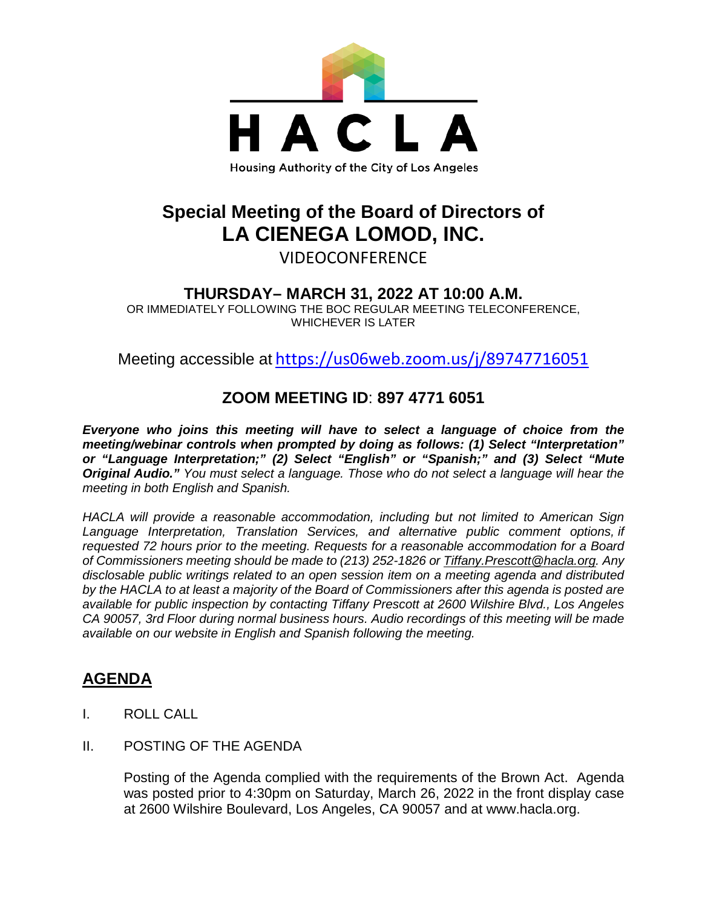

# **Special Meeting of the Board of Directors of LA CIENEGA LOMOD, INC.**

VIDEOCONFERENCE

### **THURSDAY– MARCH 31, 2022 AT 10:00 A.M.**

OR IMMEDIATELY FOLLOWING THE BOC REGULAR MEETING TELECONFERENCE, WHICHEVER IS LATER

Meeting accessible at <https://us06web.zoom.us/j/89747716051>

### **ZOOM MEETING ID**: **897 4771 6051**

*Everyone who joins this meeting will have to select a language of choice from the meeting/webinar controls when prompted by doing as follows: (1) Select "Interpretation" or "Language Interpretation;" (2) Select "English" or "Spanish;" and (3) Select "Mute Original Audio." You must select a language. Those who do not select a language will hear the meeting in both English and Spanish.*

*HACLA will provide a reasonable accommodation, including but not limited to American Sign Language Interpretation, Translation Services, and alternative public comment options, if requested 72 hours prior to the meeting. Requests for a reasonable accommodation for a Board of Commissioners meeting should be made to (213) 252-1826 or Tiffany.Prescott@hacla.org. Any disclosable public writings related to an open session item on a meeting agenda and distributed by the HACLA to at least a majority of the Board of Commissioners after this agenda is posted are available for public inspection by contacting Tiffany Prescott at 2600 Wilshire Blvd., Los Angeles CA 90057, 3rd Floor during normal business hours. Audio recordings of this meeting will be made available on our website in English and Spanish following the meeting.*

## **AGENDA**

- I. ROLL CALL
- II. POSTING OF THE AGENDA

Posting of the Agenda complied with the requirements of the Brown Act. Agenda was posted prior to 4:30pm on Saturday, March 26, 2022 in the front display case at 2600 Wilshire Boulevard, Los Angeles, CA 90057 and at [www.hacla.org.](http://www.hacla.org/)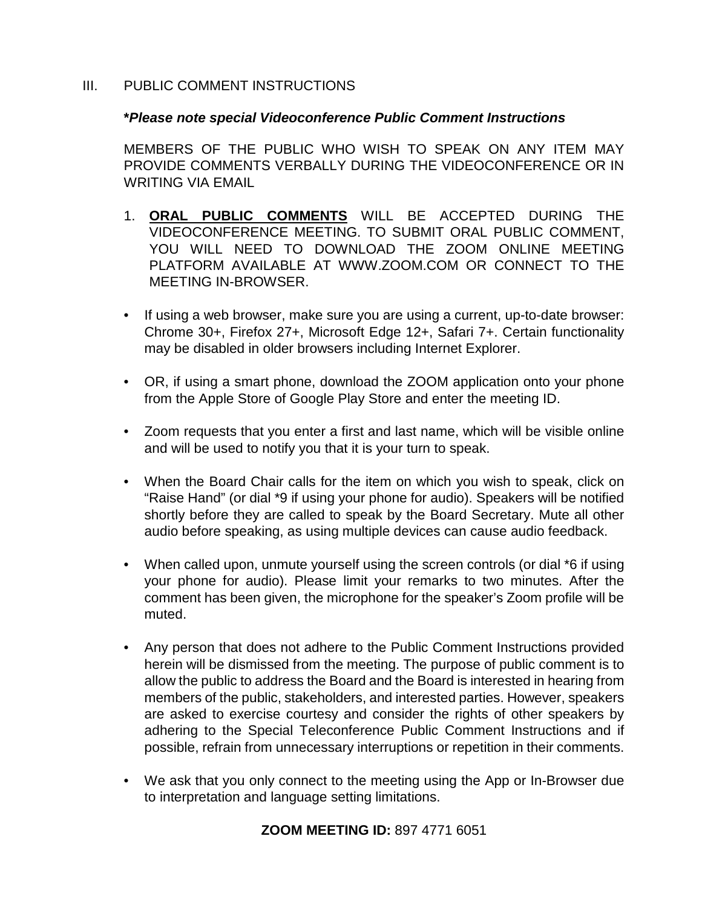#### III. PUBLIC COMMENT INSTRUCTIONS

#### **\****Please note special Videoconference Public Comment Instructions*

MEMBERS OF THE PUBLIC WHO WISH TO SPEAK ON ANY ITEM MAY PROVIDE COMMENTS VERBALLY DURING THE VIDEOCONFERENCE OR IN WRITING VIA EMAIL

- 1. **ORAL PUBLIC COMMENTS** WILL BE ACCEPTED DURING THE VIDEOCONFERENCE MEETING. TO SUBMIT ORAL PUBLIC COMMENT, YOU WILL NEED TO DOWNLOAD THE ZOOM ONLINE MEETING PLATFORM AVAILABLE AT WWW.ZOOM.COM OR CONNECT TO THE MEETING IN-BROWSER.
- If using a web browser, make sure you are using a current, up-to-date browser: Chrome 30+, Firefox 27+, Microsoft Edge 12+, Safari 7+. Certain functionality may be disabled in older browsers including Internet Explorer.
- OR, if using a smart phone, download the ZOOM application onto your phone from the Apple Store of Google Play Store and enter the meeting ID.
- Zoom requests that you enter a first and last name, which will be visible online and will be used to notify you that it is your turn to speak.
- When the Board Chair calls for the item on which you wish to speak, click on "Raise Hand" (or dial \*9 if using your phone for audio). Speakers will be notified shortly before they are called to speak by the Board Secretary. Mute all other audio before speaking, as using multiple devices can cause audio feedback.
- When called upon, unmute yourself using the screen controls (or dial \*6 if using your phone for audio). Please limit your remarks to two minutes. After the comment has been given, the microphone for the speaker's Zoom profile will be muted.
- Any person that does not adhere to the Public Comment Instructions provided herein will be dismissed from the meeting. The purpose of public comment is to allow the public to address the Board and the Board is interested in hearing from members of the public, stakeholders, and interested parties. However, speakers are asked to exercise courtesy and consider the rights of other speakers by adhering to the Special Teleconference Public Comment Instructions and if possible, refrain from unnecessary interruptions or repetition in their comments.
- We ask that you only connect to the meeting using the App or In-Browser due to interpretation and language setting limitations.

#### **ZOOM MEETING ID:** 897 4771 6051